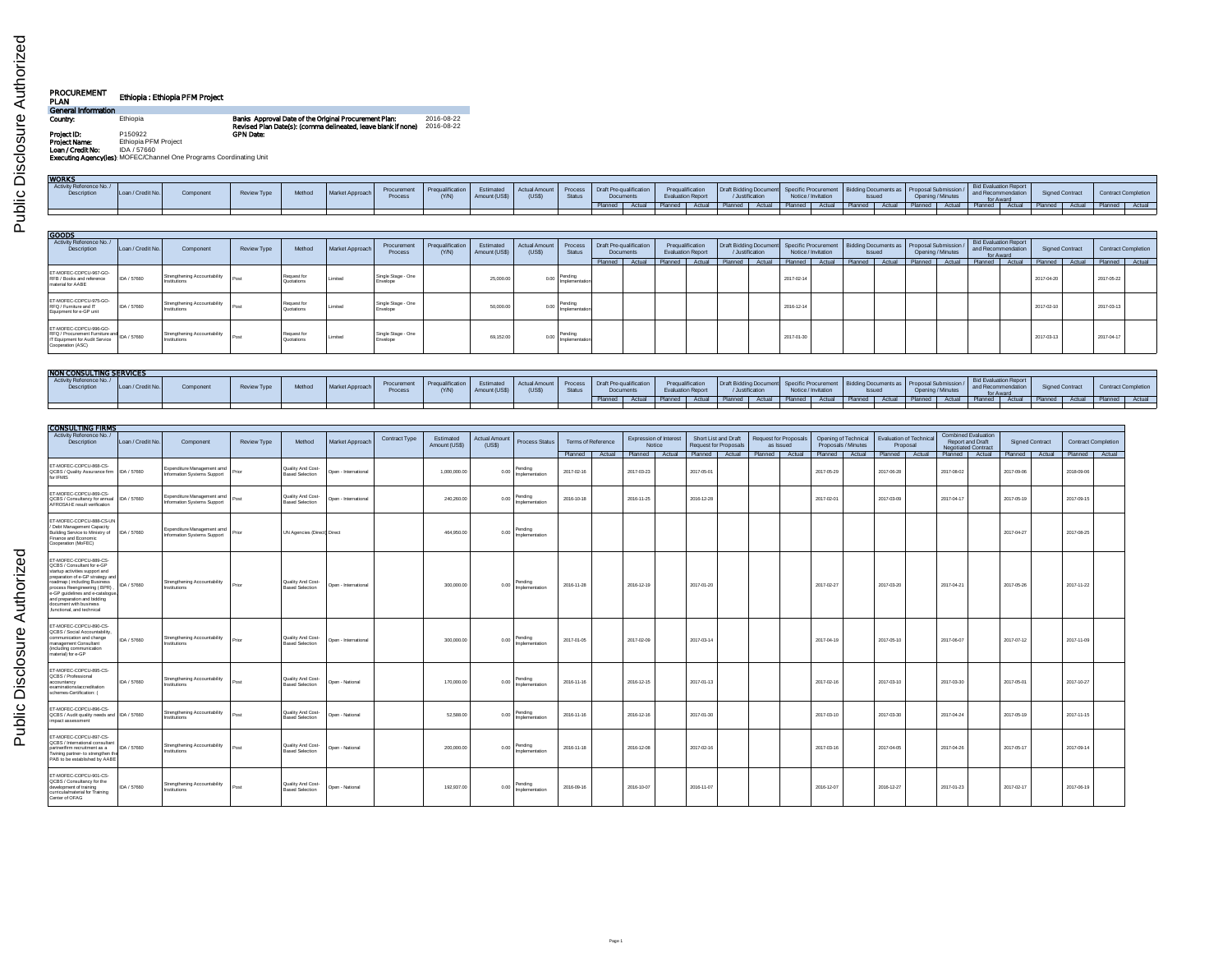| <b>PROCUREMENT</b><br>PLAN | Ethiopia: Ethiopia PFM Project                                      |                                                                                                                        |                          |
|----------------------------|---------------------------------------------------------------------|------------------------------------------------------------------------------------------------------------------------|--------------------------|
| General Information        |                                                                     |                                                                                                                        |                          |
| Country:                   | Ethiopia                                                            | Banks Approval Date of the Original Procurement Plan:<br>Revised Plan Date(s): (comma delineated, leave blank if none) | 2016-08-22<br>2016-08-22 |
| Project ID:                | P150922                                                             | <b>GPN Date:</b>                                                                                                       |                          |
| Project Name:              | Ethiopia PFM Project                                                |                                                                                                                        |                          |
| Loan / Credit No:          | IDA / 57660                                                         |                                                                                                                        |                          |
|                            | Executing Agencyfles): MOFEC/Channel One Programs Coordinating Unit |                                                                                                                        |                          |

| <b>WORKS</b>                                                                |                   |                                              |             |                           |                 |                                |                           |                            |                               |                          |                                |           |         |                                              |         |                                                                |                     |                     |                                       |        |                                          |        |                                                          |        |                        |        |                            |  |
|-----------------------------------------------------------------------------|-------------------|----------------------------------------------|-------------|---------------------------|-----------------|--------------------------------|---------------------------|----------------------------|-------------------------------|--------------------------|--------------------------------|-----------|---------|----------------------------------------------|---------|----------------------------------------------------------------|---------------------|---------------------|---------------------------------------|--------|------------------------------------------|--------|----------------------------------------------------------|--------|------------------------|--------|----------------------------|--|
| Activity Reference No./<br>Description                                      | Loan / Credit No. | Component                                    | Review Type | Method                    | Market Approach | Procurement<br>Process         | Prequalification<br>(Y/N) | Estimated<br>Amount (US\$) | Actual Amount<br>(USS)        | Process<br>Status        | <b>Draft Pre-qualification</b> | Documents |         | Prequalification<br><b>Evaluation Report</b> |         | Draft Bidding Document Specific Procurement<br>/ Justification |                     | Notice / Invitation | Bidding Documents as<br><b>Issued</b> |        | Proposal Submission<br>Opening / Minutes |        | Bid Evaluation Report<br>and Recommendation<br>for Award |        | <b>Signed Contract</b> |        | <b>Contract Completion</b> |  |
|                                                                             |                   |                                              |             |                           |                 |                                |                           |                            |                               |                          | Planned                        | Actual    | Planned | Actual                                       | Planned | Actual I                                                       | Planned             | Actual              | Planned Actual                        |        | Planned                                  | Actual | Planned                                                  | Actual | Planned Actual         |        | Planned Actual             |  |
|                                                                             |                   |                                              |             |                           |                 |                                |                           |                            |                               |                          |                                |           |         |                                              |         |                                                                |                     |                     |                                       |        |                                          |        |                                                          |        |                        |        |                            |  |
| <b>GOODS</b>                                                                |                   |                                              |             |                           |                 |                                |                           |                            |                               |                          |                                |           |         |                                              |         |                                                                |                     |                     |                                       |        |                                          |        |                                                          |        |                        |        |                            |  |
| Activity Reference No./<br>Description                                      | Loan / Credit No. | Component                                    | Review Type | Method                    | Market Approach | Procurement<br>Process         | Prequalification<br>(Y/N) | Estimated<br>Amount (US\$) | <b>Actual Amount</b><br>(USS) | Process<br>Status        | <b>Draft Pre-qualification</b> | Documents |         | Prequalification<br><b>Evaluation Report</b> |         | Draft Bidding Document Specific Procurement<br>/ Justification | Notice / Invitation |                     | Bidding Documents as<br><b>Ssued</b>  |        | Proposal Submission<br>Opening / Minutes |        | Bid Evaluation Report<br>and Recommendation<br>for Award |        | <b>Signed Contract</b> |        | <b>Contract Completion</b> |  |
|                                                                             |                   |                                              |             |                           |                 |                                |                           |                            |                               |                          | Planned                        | Actual    | Planned | Actual                                       | Planned | Actual                                                         | Planned             | Actual              | Planned                               | Actual | Planned                                  | Actual | Planned                                                  | Actual | Planned                | Actual | Planned Actual             |  |
| ET-MOFEC-COPCU-967-GO-<br>RFB / Books and reference<br>material for AABE    | DA / 57660        | Strengthening Accountability<br>Institutions | Post        | Request for<br>Quotations | 1 imited        | Single Stage - One<br>Envelope |                           | 25,000.0                   | 0.00                          | Pending<br>Implementatio |                                |           |         |                                              |         |                                                                | 2017-02-14          |                     |                                       |        |                                          |        |                                                          |        | 2017-04-2              |        | 2017-05-22                 |  |
| ET-MOFEC-COPCU-975-GO-<br>RFQ / Furniture and IT<br>Equipment for e-GP unit | DA / 57660        | Strengthening Accountability<br>Institutions | IPos        | Request fo<br>Quotations  | I imited        | Single Stage - One<br>Envelope |                           | 50,000.0                   | 0.00                          | Pending<br>Implementatio |                                |           |         |                                              |         |                                                                | 2016-12-14          |                     |                                       |        |                                          |        |                                                          |        | 2017-02-10             |        | 2017-03-13                 |  |

| ELWALED COLORADOR<br>/ Furniture and<br>Equipment for e-GP unit | IDA / 57660  | <sup>1</sup> Institutions | Request for<br><sub>I</sub> Quotation | Stane - One | 50,000.00 | Denvis |  |  | 2016-12-14 |  |  |  | 2017-02-10 | 2017-03-13 |  |
|-----------------------------------------------------------------|--------------|---------------------------|---------------------------------------|-------------|-----------|--------|--|--|------------|--|--|--|------------|------------|--|
|                                                                 | "IDA / 57660 | Streng.<br>  Institutions | Reque<br>Quotation                    | Itane - One | 69,152.00 |        |  |  | 2017-01-30 |  |  |  | 2017-03-13 | 2017-04-17 |  |
| <b>EMAIL GONNAILL SING GERMANY</b>                              |              |                           |                                       |             |           |        |  |  |            |  |  |  |            |            |  |

| <b>NON CONSULTING SERVICES</b>         |                   |           |             |        |                 |                       |                         |                            |                                                          |        |           |  |                          |                 |                     |               |                   |                                                                                                                                                     |                 |  |                     |
|----------------------------------------|-------------------|-----------|-------------|--------|-----------------|-----------------------|-------------------------|----------------------------|----------------------------------------------------------|--------|-----------|--|--------------------------|-----------------|---------------------|---------------|-------------------|-----------------------------------------------------------------------------------------------------------------------------------------------------|-----------------|--|---------------------|
| Activity Reference No./<br>Description | Loan / Credit No. | Component | Review Type | Method | Market Approach | Procurement<br>Proces | Pregualification<br>N/N | Estimated<br>Amount (US\$) | Actual Amount Process   Draft Pre-qualification<br>(USS) | Status | Documents |  | <b>Evaluation Report</b> | / Justification | Notice / Invitation | <b>Issuec</b> | Opening / Minutes | <b>Bid Evaluation Report</b><br>for Award                                                                                                           | Signed Contract |  | Contract Completion |
|                                        |                   |           |             |        |                 |                       |                         |                            |                                                          |        |           |  |                          |                 |                     |               |                   | Actual Planned   Actual   Planned   Actual   Planned   Actual   Planned   Actual   Planned   Planned   Actual   Planned   Actual   Planned   Actual |                 |  | Planned Actual      |
|                                        |                   |           |             |        |                 |                       |                         |                            |                                                          |        |           |  |                          |                 |                     |               |                   |                                                                                                                                                     |                 |  |                     |

| <b>CONSULTING FIRMS</b><br>Activity Reference No./<br>Description                                                                                                                                                                                                                                                  | Loan / Credit No | Component                                                 | <b>Review Type</b> | Method                                      | Market Approach      | Contract Type | Estimated<br>Amount (US\$) | <b>Actual Amount</b><br>(US\$) | <b>Process Status</b>     | <b>Terms of Reference</b> |                                     | <b>Expression of Interest</b><br>Notice | Short List and Draft | <b>Request for Proposals</b> | <b>Request for Proposals</b> | as Issued |            | Opening of Technical<br>Proposals / Minutes | <b>Evaluation of Technical</b><br>Proposal | <b>Combined Evaluation</b><br><b>Report and Draft</b><br><b>Negotiated Contract</b> |            | <b>Signed Contract</b> |            | <b>Contract Completion</b> |
|--------------------------------------------------------------------------------------------------------------------------------------------------------------------------------------------------------------------------------------------------------------------------------------------------------------------|------------------|-----------------------------------------------------------|--------------------|---------------------------------------------|----------------------|---------------|----------------------------|--------------------------------|---------------------------|---------------------------|-------------------------------------|-----------------------------------------|----------------------|------------------------------|------------------------------|-----------|------------|---------------------------------------------|--------------------------------------------|-------------------------------------------------------------------------------------|------------|------------------------|------------|----------------------------|
|                                                                                                                                                                                                                                                                                                                    |                  |                                                           |                    |                                             |                      |               |                            |                                |                           |                           | Planned   Actual   Planned   Actual |                                         | Planned Actual       |                              | Planned   Actual             |           |            |                                             | Planned   Actual   Planned   Actual        | Planned   Actual                                                                    |            | Planned   Actual       |            | Planned   Actual           |
| ET-MOFEC-COPCU-868-CS-<br>QCBS / Quality Assurance firm   IDA / 57660<br>for IFMIS                                                                                                                                                                                                                                 |                  | Expenditure Management amd<br>Information Systems Support | Prior              | Quality And Cost-<br><b>Based Selection</b> | Doen - International |               | 1.000.000.00               | 0.00                           | Pending<br>Implementation | 2017-02-16                | 2017-03-23                          |                                         | 2017-06-01           |                              |                              |           | 2017-05-29 |                                             | 2017-06-28                                 | 2017-08-02                                                                          | 2017-09-06 |                        | 2018-09-06 |                            |
| ET-MOFEC-COPCU-869-CS-<br>QCBS / Consultancy for annual IDA / 57660<br>AFROSAI-E result verification                                                                                                                                                                                                               |                  | Expenditure Management amd<br>Information Systems Support | Post               | Quality And Cost-<br><b>Based Selection</b> | Doen - International |               | 240.260.00                 | 0.00                           | Pending<br>Implementation | 2016-10-18                | 2016-11-25                          |                                         | 2016-12-28           |                              |                              |           | 2017-02-01 |                                             | 2017-03-09                                 | 2017-04-17                                                                          | 2017-05-19 |                        | 2017-09-15 |                            |
| ET-MOFEC-COPCU-888-CS-UN<br>Debt Management Capacity<br>Building Service to Ministry of<br>Finance and Economic<br>Cooperation (MoFEC)                                                                                                                                                                             | IDA / 57660      | Expenditure Management amd<br>Information Systems Support | Prior              | UN Agencies (Direct) Direct                 |                      |               | 464.950.00                 | 0.00                           | Pending<br>Implementation |                           |                                     |                                         |                      |                              |                              |           |            |                                             |                                            |                                                                                     | 2017-04-27 |                        | 2017-08-25 |                            |
| ET-MOFEC-COPCU-889-CS-<br>QCBS / Consultant for e-GP<br>startup activities support and<br>preparation of e-GP strategy and<br>roadmap (including Business<br>process Reengineering (BPR)<br>e-GP guidelines and e-catalogue.<br>and preparation and bidding<br>document with business<br>functional, and technical | IDA / 57660      | Strengthening Accountability<br>Institutions              | Prior              | Quality And Cost-<br><b>Based Selection</b> | Open - International |               | 300,000.00                 | 0.00                           | Pending<br>Implementation | 2016-11-28                | 2016-12-19                          |                                         | 2017-01-20           |                              |                              |           | 2017-02-27 |                                             | 2017-03-20                                 | 2017-04-21                                                                          | 2017-06-26 |                        | 2017-11-22 |                            |
| ET-MOFEC-COPCU-890-CS-<br>QCBS / Social Accountability<br>communication and change<br>management Consultant<br>fincluding communication<br>material) for e-GP                                                                                                                                                      | IDA / 57660      | Strengthening Accountability<br><b>Institutions</b>       | Prior              | Quality And Cost-<br><b>Based Selection</b> | Open - International |               | 300,000.00                 | 0.00                           | Pending<br>Implementation | 2017-01-05                | 2017-02-09                          |                                         | 2017-03-14           |                              |                              |           | 2017-04-19 |                                             | 2017-05-10                                 | 2017-06-07                                                                          | 2017-07-12 |                        | 2017-11-09 |                            |
| ET-MOFEC-COPCU-895-CS-<br>QCBS / Professional<br>accountancy<br>examinations/accreditation<br>schemes-Certification: (                                                                                                                                                                                             | IDA / 57660      | Strengthening Accountability<br><b>Institutions</b>       | Post               | Quality And Cost-<br><b>Based Selection</b> | Open - National      |               | 170,000.00                 | 0.00                           | Pending<br>Implementation | 2016-11-16                | 2016-12-15                          |                                         | 2017-01-13           |                              |                              |           | 2017-02-16 |                                             | 2017-03-10                                 | 2017-03-30                                                                          | 2017-05-01 |                        | 2017-10-27 |                            |
| ET-MOFEC-COPCU-896-CS-<br>QCBS / Audit quality needs and   IDA / 57660<br>impact assessment                                                                                                                                                                                                                        |                  | Strengthening Accountability<br>Institutions              | Post               | Quality And Cost-<br><b>Based Selection</b> | Open - National      |               | 52,588.00                  | 0.00                           | Pending<br>Implementation | 2016-11-16                | 2016-12-16                          |                                         | 2017-01-30           |                              |                              |           | 2017-03-10 |                                             | 2017-03-30                                 | 2017-04-24                                                                          | 2017-05-19 |                        | 2017-11-15 |                            |
| ET-MOFEC-COPCU-897-CS-<br>QCBS / International consultant<br>partner/firm recruitment as a<br>Twining partner- to strengthen the<br>PAB to be established by AABE                                                                                                                                                  | IDA / 57660      | Strengthening Accountability<br>Institutions              | Post               | Quality And Cost-<br><b>Based Selection</b> | Open - National      |               | 200,000.00                 | 0.00                           | Pending<br>Implementation | 2016-11-18                | 2016-12-08                          |                                         | 2017-02-16           |                              |                              |           | 2017-03-16 |                                             | 2017-04-05                                 | 2017-04-26                                                                          | 2017-06-17 |                        | 2017-09-14 |                            |
| ET-MOFEC-COPCU-901-CS-<br>QCBS / Consultancy for the<br>development of training<br>curricula/material for Training<br>Center of OFAG                                                                                                                                                                               | IDA / 57660      | Strengthening Accountability<br>Institutions              | Post               | Quality And Cost-<br><b>Based Selection</b> | Open - National      |               | 192.937.00                 | 0.00                           | Pending<br>Implementation | 2016-09-16                | 2016-10-07                          |                                         | 2016-11-07           |                              |                              |           | 2016-12-07 |                                             | 2016-12-27                                 | 2017-01-23                                                                          | 2017-02-17 |                        | 2017-06-19 |                            |